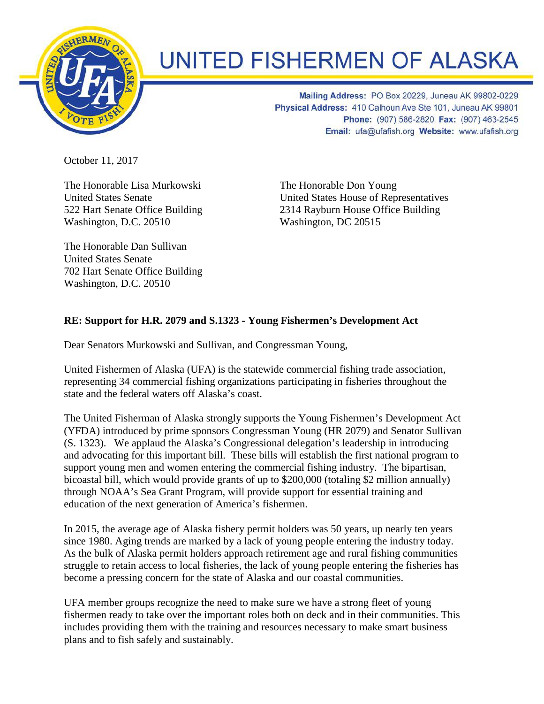

## **UNITED FISHERMEN OF ALASKA**

Mailing Address: PO Box 20229, Juneau AK 99802-0229 Physical Address: 410 Calhoun Ave Ste 101, Juneau AK 99801 Phone: (907) 586-2820 Fax: (907) 463-2545 Email: ufa@ufafish.org Website: www.ufafish.org

October 11, 2017

The Honorable Lisa Murkowski United States Senate 522 Hart Senate Office Building Washington, D.C. 20510

The Honorable Dan Sullivan United States Senate 702 Hart Senate Office Building Washington, D.C. 20510

The Honorable Don Young United States House of Representatives 2314 Rayburn House Office Building Washington, DC 20515

## **RE: Support for H.R. 2079 and S.1323 - Young Fishermen's Development Act**

Dear Senators Murkowski and Sullivan, and Congressman Young,

United Fishermen of Alaska (UFA) is the statewide commercial fishing trade association, representing 34 commercial fishing organizations participating in fisheries throughout the state and the federal waters off Alaska's coast.

The United Fisherman of Alaska strongly supports the Young Fishermen's Development Act (YFDA) introduced by prime sponsors Congressman Young (HR 2079) and Senator Sullivan (S. 1323). We applaud the Alaska's Congressional delegation's leadership in introducing and advocating for this important bill. These bills will establish the first national program to support young men and women entering the commercial fishing industry. The bipartisan, bicoastal bill, which would provide grants of up to \$200,000 (totaling \$2 million annually) through NOAA's Sea Grant Program, will provide support for essential training and education of the next generation of America's fishermen.

In 2015, the average age of Alaska fishery permit holders was 50 years, up nearly ten years since 1980. Aging trends are marked by a lack of young people entering the industry today. As the bulk of Alaska permit holders approach retirement age and rural fishing communities struggle to retain access to local fisheries, the lack of young people entering the fisheries has become a pressing concern for the state of Alaska and our coastal communities.

UFA member groups recognize the need to make sure we have a strong fleet of young fishermen ready to take over the important roles both on deck and in their communities. This includes providing them with the training and resources necessary to make smart business plans and to fish safely and sustainably.